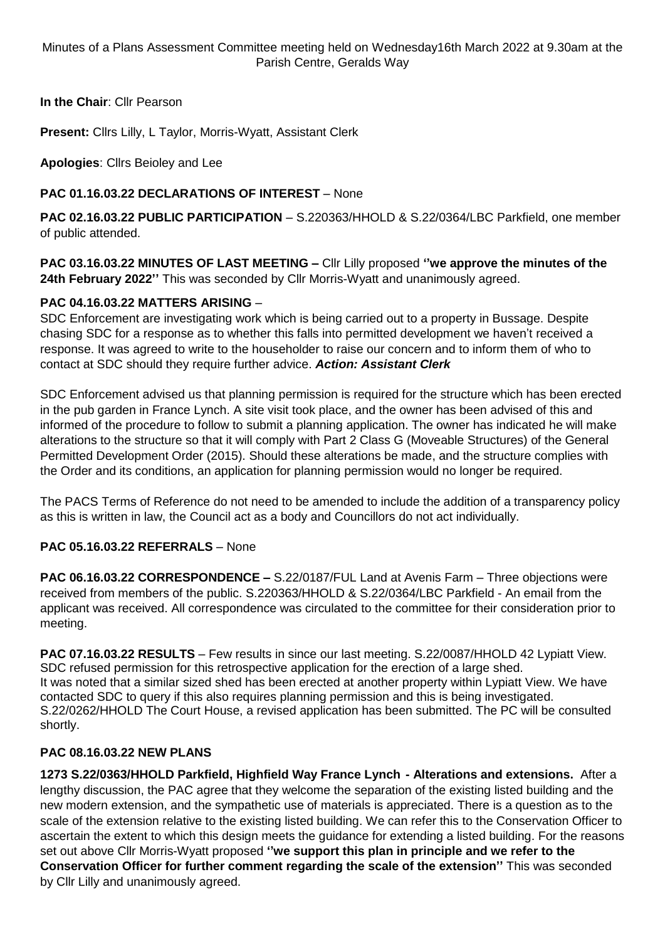Minutes of a Plans Assessment Committee meeting held on Wednesday16th March 2022 at 9.30am at the Parish Centre, Geralds Way

**In the Chair**: Cllr Pearson

**Present:** Cllrs Lilly, L Taylor, Morris-Wyatt, Assistant Clerk

**Apologies**: Cllrs Beioley and Lee

# **PAC 01.16.03.22 DECLARATIONS OF INTEREST** – None

**PAC 02.16.03.22 PUBLIC PARTICIPATION** – S.220363/HHOLD & S.22/0364/LBC Parkfield, one member of public attended.

**PAC 03.16.03.22 MINUTES OF LAST MEETING –** Cllr Lilly proposed **''we approve the minutes of the 24th February 2022''** This was seconded by Cllr Morris-Wyatt and unanimously agreed.

### **PAC 04.16.03.22 MATTERS ARISING** –

SDC Enforcement are investigating work which is being carried out to a property in Bussage. Despite chasing SDC for a response as to whether this falls into permitted development we haven't received a response. It was agreed to write to the householder to raise our concern and to inform them of who to contact at SDC should they require further advice. *Action: Assistant Clerk*

SDC Enforcement advised us that planning permission is required for the structure which has been erected in the pub garden in France Lynch. A site visit took place, and the owner has been advised of this and informed of the procedure to follow to submit a planning application. The owner has indicated he will make alterations to the structure so that it will comply with Part 2 Class G (Moveable Structures) of the General Permitted Development Order (2015). Should these alterations be made, and the structure complies with the Order and its conditions, an application for planning permission would no longer be required.

The PACS Terms of Reference do not need to be amended to include the addition of a transparency policy as this is written in law, the Council act as a body and Councillors do not act individually.

# **PAC 05.16.03.22 REFERRALS** – None

**PAC 06.16.03.22 CORRESPONDENCE –** S.22/0187/FUL Land at Avenis Farm – Three objections were received from members of the public. S.220363/HHOLD & S.22/0364/LBC Parkfield - An email from the applicant was received. All correspondence was circulated to the committee for their consideration prior to meeting.

**PAC 07.16.03.22 RESULTS** – Few results in since our last meeting. S.22/0087/HHOLD 42 Lypiatt View. SDC refused permission for this retrospective application for the erection of a large shed. It was noted that a similar sized shed has been erected at another property within Lypiatt View. We have contacted SDC to query if this also requires planning permission and this is being investigated. S.22/0262/HHOLD The Court House, a revised application has been submitted. The PC will be consulted shortly.

### **PAC 08.16.03.22 NEW PLANS**

**1273 S.22/0363/HHOLD Parkfield, Highfield Way France Lynch - Alterations and extensions.** After a lengthy discussion, the PAC agree that they welcome the separation of the existing listed building and the new modern extension, and the sympathetic use of materials is appreciated. There is a question as to the scale of the extension relative to the existing listed building. We can refer this to the Conservation Officer to ascertain the extent to which this design meets the guidance for extending a listed building. For the reasons set out above Cllr Morris-Wyatt proposed **''we support this plan in principle and we refer to the Conservation Officer for further comment regarding the scale of the extension''** This was seconded by Cllr Lilly and unanimously agreed.